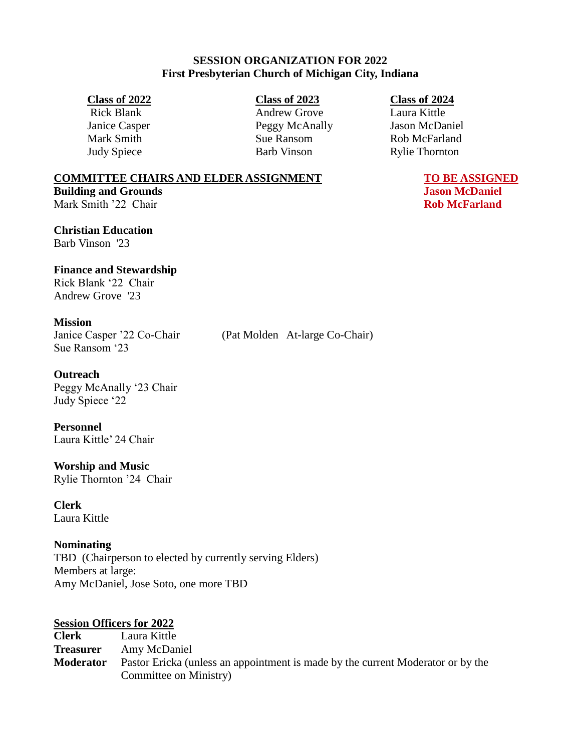## **SESSION ORGANIZATION FOR 2022 First Presbyterian Church of Michigan City, Indiana**

Rick Blank Andrew Grove Laura Kittle Janice Casper Peggy McAnally Jason McDaniel Mark Smith Sue Ransom Rob McFarland Judy Spiece Barb Vinson Rylie Thornton

### **Class of 2022 Class of 2023 Class of 2024**

#### **COMMITTEE CHAIRS AND ELDER ASSIGNMENT TO BE ASSIGNED Building and Grounds Jason McDaniel**

Mark Smith '22 Chair **Rob McFarland Rob McFarland** 

**Christian Education** Barb Vinson '23

## **Finance and Stewardship**

Rick Blank '22 Chair Andrew Grove '23

### **Mission**

Sue Ransom '23

#### **Outreach**

Peggy McAnally '23 Chair Judy Spiece '22

**Personnel** Laura Kittle' 24 Chair

**Worship and Music** Rylie Thornton '24 Chair

**Clerk** Laura Kittle

### **Nominating**

TBD (Chairperson to elected by currently serving Elders) Members at large: Amy McDaniel, Jose Soto, one more TBD

### **Session Officers for 2022**

**Clerk** Laura Kittle **Treasurer** Amy McDaniel **Moderator** Pastor Ericka (unless an appointment is made by the current Moderator or by the Committee on Ministry)

Janice Casper '22 Co-Chair (Pat Molden At-large Co-Chair)